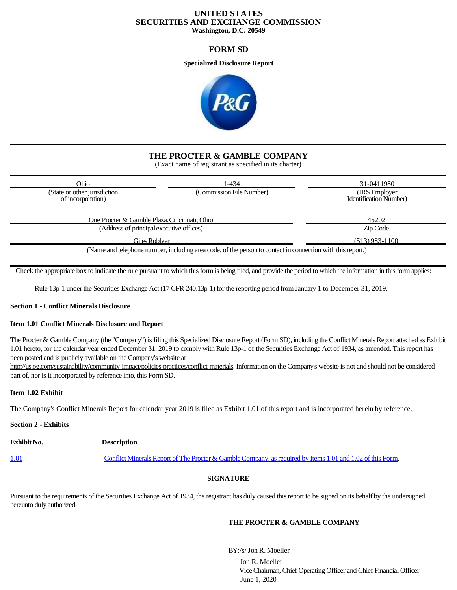# **UNITED STATES SECURITIES AND EXCHANGE COMMISSION Washington, D.C. 20549**

# **FORM SD**

**Specialized Disclosure Report**



# **THE PROCTER & GAMBLE COMPANY**

(Exact name of registrant as specified in its charter)

| Ohio                                              | 1-434                                                                       | 31-0411980                                       |
|---------------------------------------------------|-----------------------------------------------------------------------------|--------------------------------------------------|
| (State or other jurisdiction<br>of incorporation) | (Commission File Number)                                                    | (IRS Employer)<br><b>Identification Number</b> ) |
| One Procter & Gamble Plaza, Cincinnati, Ohio      |                                                                             | 45202                                            |
| (Address of principal executive offices)          |                                                                             | Zip Code                                         |
| Giles Roblyer                                     |                                                                             | $(513)$ 983-1100                                 |
|                                                   | $\Delta T$ and $T$ is the state of $\Delta T$ and $\Delta T$ and $\Delta T$ |                                                  |

(Name and telephone number, including area code, of the person to contact in connection with thisreport.)

Check the appropriate box to indicate the rule pursuant to which this form is being filed, and provide the period to which the information in this form applies:

Rule 13p-1 under the Securities Exchange Act (17 CFR 240.13p-1) for the reporting period from January 1 to December 31, 2019.

# **Section 1 - Conflict Minerals Disclosure**

# **Item 1.01 Conflict Minerals Disclosure and Report**

The Procter & Gamble Company (the "Company") is filing this Specialized Disclosure Report (Form SD), including the Conflict Minerals Report attached as Exhibit 1.01 hereto, for the calendar year ended December 31, 2019 to comply with Rule 13p-1 of the Securities Exchange Act of 1934, as amended. This report has been posted and is publicly available on the Company's website at

[http://us.pg.com/sustainability/community-impact/policies-practices/conflict-materials. I](http://us.pg.com/sustainability/community-impact/policies-practices/conflict-materials)nformation on the Company's website is not and should not be considered part of, nor is it incorporated by reference into, this Form SD.

# **Item 1.02 Exhibit**

The Company's Conflict Minerals Report for calendar year 2019 is filed as Exhibit 1.01 of this report and is incorporated herein by reference.

# **Section 2 - Exhibits**

| <b>Exhibit No.</b> | <b>Description</b>                                                                                         |  |
|--------------------|------------------------------------------------------------------------------------------------------------|--|
|                    |                                                                                                            |  |
| <u>1.01</u>        | Conflict Minerals Report of The Procter & Gamble Company, as required by Items 1.01 and 1.02 of this Form. |  |

# **SIGNATURE**

Pursuant to the requirements of the Securities Exchange Act of 1934, the registrant has duly caused this report to be signed on its behalf by the undersigned hereunto duly authorized.

# **THE PROCTER & GAMBLE COMPANY**

BY:/s/ Jon R. Moeller

Jon R. Moeller Vice Chairman, Chief Operating Officer and Chief Financial Officer June 1, 2020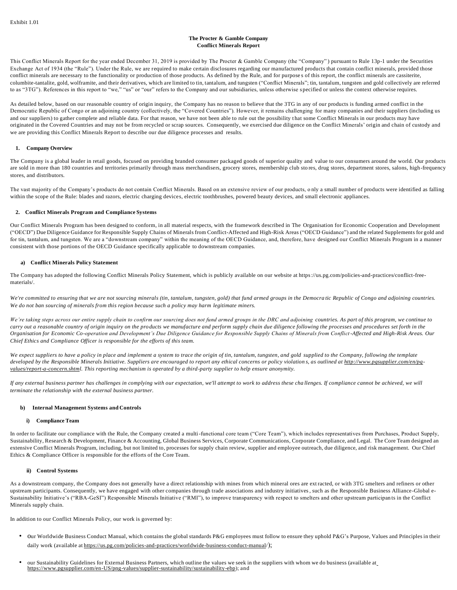## **The Procter & Gamble Company Conflict Minerals Report**

This Conflict Minerals Report for the year ended December 31, 2019 is provided by The Procter & Gamble Company (the "Company" ) pursuant to Rule 13p-1 under the Securities Exchange Act of 1934 (the "Rule"). Under the Rule, we are required to make certain disclosures regarding our manufactured products that contain conflict minerals, provided those conflict minerals are necessary to the functionality or production of those products. As defined by the Rule, and for purpose s of this report, the conflict minerals are cassiterite, columbite-tantalite, gold, wolframite, and their derivatives, which are limited to tin, tantalum, and tungsten ("Conflict Minerals"; tin, tantalum, tungsten and gold collectively are referred to as "3TG"). References in this report to "we," "us" or "our" refers to the Company and our subsidiaries, unless otherwise s pecified or unless the context otherwise requires.

As detailed below, based on our reasonable country of origin inquiry, the Company has no reason to believe that the 3TG in any of our products is funding armed conflict in the Democratic Republic of Congo or an adjoining country (collectively, the "Covered Countries"). However, it remains challenging for many companies and their suppliers (including us and our suppliers) to gather complete and reliable data. For that reason, we have not been able to rule out the possibility that some Conflict Minerals in our products may have originated in the Covered Countries and may not be from recycled or scrap sources. Consequently, we exercised due diligence on the Conflict Minerals' origin and chain of custody and we are providing this Conflict Minerals Report to describe our due diligence processes and results.

### **1. Company Overview**

The Company is a global leader in retail goods, focused on providing branded consumer packaged goods of superior quality and value to our consumers around the world. Our products are sold in more than 180 countries and territories primarily through mass merchandisers, grocery stores, membership club stores, drug stores, department stores, salons, high-frequency stores, and distributors.

The vast majority of the Company's products do not contain Conflict Minerals. Based on an extensive review of our products, o nly a small number of products were identified as falling within the scope of the Rule: blades and razors, electric charging devices, electric toothbrushes, powered beauty devices, and small electronic appliances.

# **2. Conflict Minerals Program and Compliance Systems**

Our Conflict Minerals Program has been designed to conform, in all material respects, with the framework described in The Organisation for Economic Cooperation and Development ("OECD") Due Diligence Guidance for Responsible Supply Chains of Minerals from Conflict-Affected and High-Risk Areas ("OECD Guidance") and the related Supplements for gold and for tin, tantalum, and tungsten. We are a "downstream company" within the meaning of the OECD Guidance, and, therefore, have designed our Conflict Minerals Program in a manner consistent with those portions of the OECD Guidance specifically applicable to downstream companies.

### **a) Conflict Minerals Policy Statement**

The Company has adopted the following Conflict Minerals Policy Statement, which is publicly available on our website at https://us.pg.com/policies-and-practices/conflict-freematerials/.

*We're committed to ensuring that we are not sourcing minerals (tin, tantalum, tungsten, gold) that fund armed groups in the Democra tic Republic of Congo and adjoining countries. We do not ban sourcing of minerals from this region because such a policy may harm legitimate miners.*

*We're taking steps across our entire supply chain to confirm our sourcing does not fund armed groups in the DRC and adjoining countries. As part of this program, we continue to*  carry out a reasonable country of origin inquiry on the products we manufacture and perform supply chain due diligence following the processes and procedures set forth in the *Organisation for Economic Co-operation and Development's Due Diligence Guidance for Responsible Supply Chains of Minerals from Conflict -Affected and High-Risk Areas. Our Chief Ethics and Compliance Officer is responsible for the efforts of this team.*

*We expect suppliers to have a policy in place and implement a system to trace the origin of tin, tantalum, tungsten, and gold supplied to the Company, following the template*  developed by the Responsible Minerals Initiative. Suppliers are encouraged to report any ethical concerns or policy violations, as outlined a[t http://www.pgsupplier.com/en/pg](http://www.pgsupplier.com/en/pg-)*values/report-a-concern.shtml. This reporting mechanism is operated by a third-party supplier to help ensure anonymity.*

*If any external business partner has challenges in complying with our expectation, we'll attempt to work to address these cha llenges. If compliance cannot be achieved, we will terminate the relationship with the external business partner.*

#### **b) Internal Management Systems and Controls**

# **i) Compliance Team**

In order to facilitate our compliance with the Rule, the Company created a multi-functional core team ("Core Team"), which includes representatives from Purchases, Product Supply, Sustainability, Research & Development, Finance & Accounting, Global Business Services, Corporate Communications, Corporate Compliance, and Legal. The Core Team designed an extensive Conflict Minerals Program, including, but not limited to, processes for supply chain review, supplier and employee outreach, due diligence, and risk management. Our Chief Ethics & Compliance Officer is responsible for the efforts of the Core Team.

#### **ii) Control Systems**

As a downstream company, the Company does not generally have a direct relationship with mines from which mineral ores are ext racted, or with 3TG smelters and refiners or other upstream participants. Consequently, we have engaged with other companies through trade associations and industry initiatives, such as the Responsible Business Alliance-Global e-Sustainability Initiative's ("RBA-GeSI") Responsible Minerals Initiative ("RMI"), to improve transparency with respect to smelters and other upstream participan ts in the Conflict Minerals supply chain.

In addition to our Conflict Minerals Policy, our work is governed by:

- our Worldwide Business Conduct Manual, which contains the global standards P&G employees must follow to ensure they uphold P&G's Purpose, Values and Principles in their daily work (available at https://us.pg.com/policies-and-practices/worldwide-business-conduct-manual/);
- our Sustainability Guidelines for External Business Partners, which outline the values we seek in the suppliers with whom we do business (available at [https://www.pgsupplier.com/en-US/png-values/supplier-sustainability/sustainability-ebp\)](http://www.pgsupplier.com/en-US/png-values/supplier-sustainability/sustainability-ebp)); and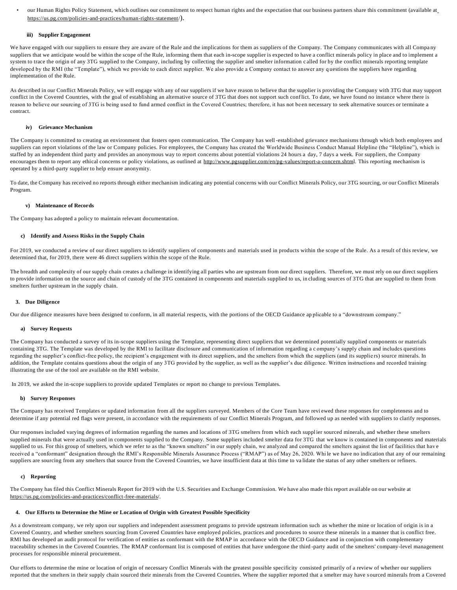• our Human Rights Policy Statement, which outlines our commitment to respect human rights and the expectation that our business partners share this commitment (available at https://us.pg.com/policies-and-practices/human-rights-statement/).

### **iii) Supplier Engagement**

We have engaged with our suppliers to ensure they are aware of the Rule and the implications for them as suppliers of the Company. The Company communicates with all Company suppliers that we anticipate would be within the scope of the Rule, informing them that each in-scope supplier is expected to have a conflict minerals policy in place and to implement a system to trace the origin of any 3TG supplied to the Company, including by collecting the supplier and smelter information c alled for by the conflict minerals reporting template developed by the RMI (the "Template"), which we provide to each direct supplier. We also provide a Company contact to answer any questions the suppliers have regarding implementation of the Rule.

As described in our Conflict Minerals Policy, we will engage with any of our suppliers if we have reason to believe that the supplier is providing the Company with 3TG that may support conflict in the Covered Countries, with the goal of establishing an alternative source of 3TG that does not support such conflict. To date, we have found no instance where there is reason to believe our sourcing of 3TG is being used to fund armed conflict in the Covered Countries; therefore, it has not been necessary to seek alternative sources or terminate a contract.

#### **iv) Grievance Mechanism**

The Company is committed to creating an environment that fosters open communication. The Company has well -established grievance mechanisms through which both employees and suppliers can report violations of the law or Company policies. For employees, the Company has created the Worldwide Business Conduct Manual Helpline (the "Helpline"), which is staffed by an independent third party and provides an anonymous way to report concerns about potential violations 24 hours a day, 7 days a week. For suppliers, the Company encourages them to report any ethical concerns or policy violations, as outlined at [http://www.pgsupplier.com/en/pg-values/report-a-concern.shtml. T](http://www.pgsupplier.com/en/pg-values/report-a-concern.shtml)his reporting mechanism is operated by a third-party supplier to help ensure anonymity.

To date, the Company has received no reports through either mechanism indicating any potential concerns with our Conflict Minerals Policy, our 3TG sourcing, or our Conflict Minerals Program.

### **v) Maintenance of Records**

The Company has adopted a policy to maintain relevant documentation.

### **c) Identify and Assess Risks in the Supply Chain**

For 2019, we conducted a review of our direct suppliers to identify suppliers of components and materials used in products within the scope of the Rule. As a result of this review, we determined that, for 2019, there were 46 direct suppliers within the scope of the Rule.

The breadth and complexity of our supply chain creates a challenge in identifying all parties who are upstream from our direct suppliers. Therefore, we must rely on our direct suppliers to provide information on the source and chain of custody of the 3TG contained in components and materials supplied to us, including sources of 3TG that are supplied to them from smelters further upstream in the supply chain.

## **3. Due Diligence**

Our due diligence measures have been designed to conform, in all material respects, with the portions of the OECD Guidance ap plicable to a "downstream company."

#### **a) Survey Requests**

The Company has conducted a survey of its in-scope suppliers using the Template, representing direct suppliers that we determined potentially supplied components or materials containing 3TG. The Template was developed by the RMI to facilitate disclosure and communication of information regarding a c ompany's supply chain and includes questions regarding the supplier's conflict-free policy, the recipient's engagement with its direct suppliers, and the smelters from which the suppliers (and its suppliers) source minerals. In addition, the Template contains questions about the origin of any 3TG provided by the supplier, as well as the supplier's due diligence. Written instructions and recorded training illustrating the use of the tool are available on the RMI website.

In 2019, we asked the in-scope suppliers to provide updated Templates or report no change to previous Templates.

## **b) Survey Responses**

The Company has received Templates or updated information from all the suppliers surveyed. Members of the Core Team have revi ewed these responses for completeness and to determine if any potential red flags were present, in accordance with the requirements of our Conflict Minerals Program, and followed up as needed with suppliers to clarify responses.

Our responses included varying degrees of information regarding the names and locations of 3TG smelters from which each suppl ier sourced minerals, and whether these smelters supplied minerals that were actually used in components supplied to the Company. Some suppliers included smelter data for 3TG that we know is contained in components and materials supplied to us. For this group of smelters, which we refer to as the "known smelters" in our supply chain, we analyzed and compared the smelters against the list of facilities that have received a "conformant" designation through the RMI's Responsible Minerals Assurance Process ("RMAP") as of May 26, 2020. Whi le we have no indication that any of our remaining suppliers are sourcing from any smelters that source from the Covered Countries, we have insufficient data at this time to validate the status of any other smelters or refiners.

#### **c) Reporting**

The Company has filed this Conflict Minerals Report for 2019 with the U.S. Securities and Exchange Commission. We have also made this report available on our website at https://us.pg.com/policies-and-practices/conflict-free-materials/.

## **4. Our Efforts to Determine the Mine or Location of Origin with Greatest Possible Specificity**

As a downstream company, we rely upon our suppliers and independent assessment programs to provide upstream information such as whether the mine or location of origin is in a Covered Country, and whether smelters sourcing from Covered Countries have employed policies, practices and procedures to source these minerals in a manner that is conflict free. RMI has developed an audit protocol for verification of entities as conformant with the RMAP in accordance with the OECD Guidance and in conjunction with complementary traceability schemes in the Covered Countries. The RMAP conformant list is composed of entities that have undergone the third -party audit of the smelters' company-level management processes for responsible mineral procurement.

Our efforts to determine the mine or location of origin of necessary Conflict Minerals with the greatest possible specificity consisted primarily of a review of whether our suppliers reported that the smelters in their supply chain sourced their minerals from the Covered Countries. Where the supplier reported that a smelter may have s ourced minerals from a Covered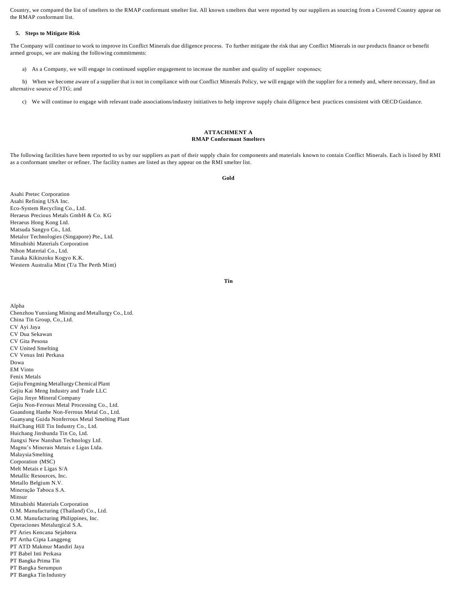Country, we compared the list of smelters to the RMAP conformant smelter list. All known smelters that were reported by our suppliers as sourcing from a Covered Country appear on the RMAP conformant list.

# **5. Steps to Mitigate Risk**

The Company will continue to work to improve its Conflict Minerals due diligence process. To further mitigate the risk that any Conflict Minerals in our products finance or benefit armed groups, we are making the following commitments:

a) As a Company, we will engage in continued supplier engagement to increase the number and quality of supplier responses;

b) When we become aware of a supplier that is not in compliance with our Conflict Minerals Policy, we will engage with the supplier for a remedy and, where necessary, find an alternative source of 3TG; and

c) We will continue to engage with relevant trade associations/industry initiatives to help improve supply chain diligence best practices consistent with OECD Guidance.

## **ATTACHMENT A RMAP Conformant Smelters**

The following facilities have been reported to us by our suppliers as part of their supply chain for components and materials known to contain Conflict Minerals. Each is listed by RMI as a conformant smelter or refiner. The facility names are listed as they appear on the RMI smelter list.

**Gold**

Asahi Pretec Corporation Asahi Refining USA Inc. Eco-System Recycling Co., Ltd. Heraeus Precious Metals GmbH & Co. KG Heraeus Hong Kong Ltd. Matsuda Sangyo Co., Ltd. Metalor Technologies (Singapore) Pte., Ltd. Mitsubishi Materials Corporation Nihon Material Co., Ltd. Tanaka Kikinzoku Kogyo K.K. Western Australia Mint (T/a The Perth Mint)

Alpha

**Tin**

Chenzhou Yunxiang Mining and Metallurgy Co., Ltd. China Tin Group, Co., Ltd. CV Ayi Jaya CV Dua Sekawan CV Gita Pesona CV United Smelting CV Venus Inti Perkasa Dowa EM Vinto Fenix Metals Gejiu Fengming MetallurgyChemical Plant Gejiu Kai Meng Industry and Trade LLC Gejiu Jinye Mineral Company Gejiu Non-Ferrous Metal Processing Co., Ltd. Guandong Hanhe Non-Ferrous Metal Co., Ltd. Guanyang Guida Nonferrous Metal Smelting Plant HuiChang Hill Tin Industry Co., Ltd. Huichang Jinshunda Tin Co, Ltd. Jiangxi New Nanshan Technology Ltd. Magnu's Minerais Metais e Ligas Ltda. Malaysia Smelting Corporation (MSC) Melt Metais e Ligas S/A Metallic Resources, Inc. Metallo Belgium N.V. Mineração Taboca S.A. Minsur Mitsubishi Materials Corporation O.M. Manufacturing (Thailand) Co., Ltd. O.M. Manufacturing Philippines, Inc. Operaciones Metalurgical S.A. PT Aries Kencana Sejahtera PT Artha Cipta Langgeng PT ATD Makmur Mandiri Jaya PT Babel Inti Perkasa PT Bangka Prima Tin PT Bangka Serumpun PT Bangka Tin Industry